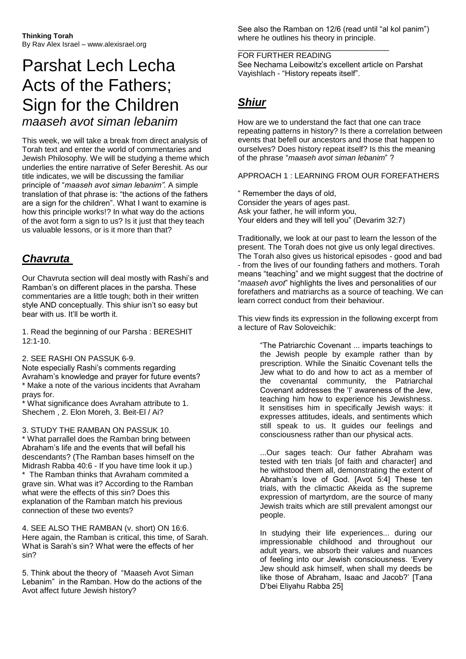# Parshat Lech Lecha Acts of the Fathers; Sign for the Children *maaseh avot siman lebanim*

This week, we will take a break from direct analysis of Torah text and enter the world of commentaries and Jewish Philosophy. We will be studying a theme which underlies the entire narrative of Sefer Bereshit. As our title indicates, we will be discussing the familiar principle of "*maaseh avot siman lebanim".* A simple translation of that phrase is: "the actions of the fathers are a sign for the children". What I want to examine is how this principle works!? In what way do the actions of the avot form a sign to us? Is it just that they teach us valuable lessons, or is it more than that?

### *Chavruta*

Our Chavruta section will deal mostly with Rashi's and Ramban's on different places in the parsha. These commentaries are a little tough; both in their written style AND conceptually. This shiur isn't so easy but bear with us. It'll be worth it.

1. Read the beginning of our Parsha : BERESHIT 12:1-10.

2. SEE RASHI ON PASSUK 6-9.

Note especially Rashi's comments regarding Avraham's knowledge and prayer for future events? Make a note of the various incidents that Avraham prays for.

What significance does Avraham attribute to 1. Shechem , 2. Elon Moreh, 3. Beit-El / Ai?

3. STUDY THE RAMBAN ON PASSUK 10.

\* What parrallel does the Ramban bring between Abraham's life and the events that will befall his descendants? (The Ramban bases himself on the Midrash Rabba 40:6 - If you have time look it up.) The Ramban thinks that Avraham commited a grave sin. What was it? According to the Ramban what were the effects of this sin? Does this explanation of the Ramban match his previous connection of these two events?

4. SEE ALSO THE RAMBAN (v. short) ON 16:6. Here again, the Ramban is critical, this time, of Sarah. What is Sarah's sin? What were the effects of her sin?

5. Think about the theory of "Maaseh Avot Siman Lebanim" in the Ramban. How do the actions of the Avot affect future Jewish history?

See also the Ramban on 12/6 (read until "al kol panim") where he outlines his theory in principle.

FOR FURTHER READING See Nechama Leibowitz's excellent article on Parshat Vayishlach - "History repeats itself".

\_\_\_\_\_\_\_\_\_\_\_\_\_\_\_\_\_\_\_\_\_\_\_\_\_\_\_\_\_\_\_\_\_\_\_

## *Shiur*

How are we to understand the fact that one can trace repeating patterns in history? Is there a correlation between events that befell our ancestors and those that happen to ourselves? Does history repeat itself? Is this the meaning of the phrase "*maaseh avot siman lebanim*" ?

APPROACH 1 : LEARNING FROM OUR FOREFATHERS

" Remember the days of old, Consider the years of ages past. Ask your father, he will inform you, Your elders and they will tell you" (Devarim 32:7)

Traditionally, we look at our past to learn the lesson of the present. The Torah does not give us only legal directives. The Torah also gives us historical episodes - good and bad - from the lives of our founding fathers and mothers. Torah means "teaching" and we might suggest that the doctrine of "*maaseh avot*" highlights the lives and personalities of our forefathers and matriarchs as a source of teaching. We can learn correct conduct from their behaviour.

This view finds its expression in the following excerpt from a lecture of Rav Soloveichik:

> "The Patriarchic Covenant ... imparts teachings to the Jewish people by example rather than by prescription. While the Sinaitic Covenant tells the Jew what to do and how to act as a member of the covenantal community, the Patriarchal Covenant addresses the 'I' awareness of the Jew, teaching him how to experience his Jewishness. It sensitises him in specifically Jewish ways: it expresses attitudes, ideals, and sentiments which still speak to us. It guides our feelings and consciousness rather than our physical acts.

> ...Our sages teach: Our father Abraham was tested with ten trials [of faith and character] and he withstood them all, demonstrating the extent of Abraham's love of God. [Avot 5:4] These ten trials, with the climactic Akeida as the supreme expression of martyrdom, are the source of many Jewish traits which are still prevalent amongst our people.

> In studying their life experiences... during our impressionable childhood and throughout our adult years, we absorb their values and nuances of feeling into our Jewish consciousness. 'Every Jew should ask himself, when shall my deeds be like those of Abraham, Isaac and Jacob?' [Tana D'bei Eliyahu Rabba 25]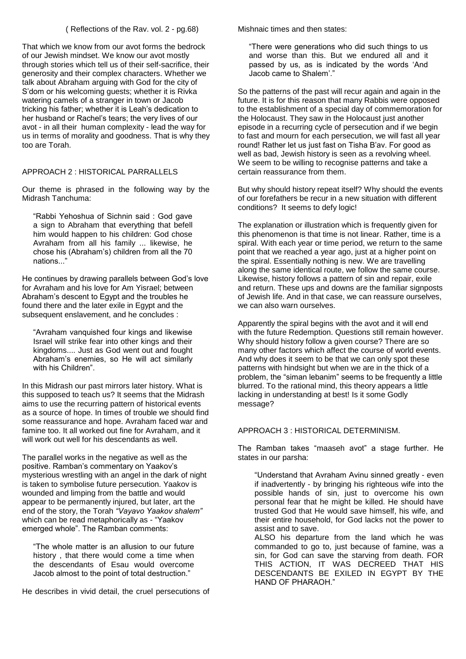( Reflections of the Rav. vol. 2 - pg.68)

That which we know from our avot forms the bedrock of our Jewish mindset. We know our avot mostly through stories which tell us of their self-sacrifice, their generosity and their complex characters. Whether we talk about Abraham arguing with God for the city of S'dom or his welcoming quests; whether it is Rivka watering camels of a stranger in town or Jacob tricking his father; whether it is Leah's dedication to her husband or Rachel's tears; the very lives of our avot - in all their human complexity - lead the way for us in terms of morality and goodness. That is why they too are Torah.

### APPROACH 2 : HISTORICAL PARRALLELS

Our theme is phrased in the following way by the Midrash Tanchuma:

"Rabbi Yehoshua of Sichnin said : God gave a sign to Abraham that everything that befell him would happen to his children: God chose Avraham from all his family ... likewise, he chose his (Abraham's) children from all the 70 nations..."

He continues by drawing parallels between God's love for Avraham and his love for Am Yisrael; between Abraham's descent to Egypt and the troubles he found there and the later exile in Egypt and the subsequent enslavement, and he concludes :

"Avraham vanquished four kings and likewise Israel will strike fear into other kings and their kingdoms.... Just as God went out and fought Abraham's enemies, so He will act similarly with his Children".

In this Midrash our past mirrors later history. What is this supposed to teach us? It seems that the Midrash aims to use the recurring pattern of historical events as a source of hope. In times of trouble we should find some reassurance and hope. Avraham faced war and famine too. It all worked out fine for Avraham, and it will work out well for his descendants as well.

The parallel works in the negative as well as the positive. Ramban's commentary on Yaakov's mysterious wrestling with an angel in the dark of night is taken to symbolise future persecution. Yaakov is wounded and limping from the battle and would appear to be permanently injured, but later, art the end of the story, the Torah *"Vayavo Yaakov shalem"* which can be read metaphorically as - "Yaakov emerged whole". The Ramban comments:

"The whole matter is an allusion to our future history , that there would come a time when the descendants of Esau would overcome Jacob almost to the point of total destruction."

He describes in vivid detail, the cruel persecutions of

Mishnaic times and then states:

"There were generations who did such things to us and worse than this. But we endured all and it passed by us, as is indicated by the words 'And Jacob came to Shalem'."

So the patterns of the past will recur again and again in the future. It is for this reason that many Rabbis were opposed to the establishment of a special day of commemoration for the Holocaust. They saw in the Holocaust just another episode in a recurring cycle of persecution and if we begin to fast and mourn for each persecution, we will fast all year round! Rather let us just fast on Tisha B'av. For good as well as bad, Jewish history is seen as a revolving wheel. We seem to be willing to recognise patterns and take a certain reassurance from them.

But why should history repeat itself? Why should the events of our forefathers be recur in a new situation with different conditions? It seems to defy logic!

The explanation or illustration which is frequently given for this phenomenon is that time is not linear. Rather, time is a spiral. With each year or time period, we return to the same point that we reached a year ago, just at a higher point on the spiral. Essentially nothing is new. We are travelling along the same identical route, we follow the same course. Likewise, history follows a pattern of sin and repair, exile and return. These ups and downs are the familiar signposts of Jewish life. And in that case, we can reassure ourselves, we can also warn ourselves.

Apparently the spiral begins with the avot and it will end with the future Redemption. Questions still remain however. Why should history follow a given course? There are so many other factors which affect the course of world events. And why does it seem to be that we can only spot these patterns with hindsight but when we are in the thick of a problem, the "siman lebanim" seems to be frequently a little blurred. To the rational mind, this theory appears a little lacking in understanding at best! Is it some Godly message?

#### APPROACH 3 : HISTORICAL DETERMINISM.

The Ramban takes "maaseh avot" a stage further. He states in our parsha:

"Understand that Avraham Avinu sinned greatly - even if inadvertently - by bringing his righteous wife into the possible hands of sin, just to overcome his own personal fear that he might be killed. He should have trusted God that He would save himself, his wife, and their entire household, for God lacks not the power to assist and to save.

ALSO his departure from the land which he was commanded to go to, just because of famine, was a sin, for God can save the starving from death. FOR THIS ACTION, IT WAS DECREED THAT HIS DESCENDANTS BE EXILED IN EGYPT BY THE HAND OF PHARAOH."